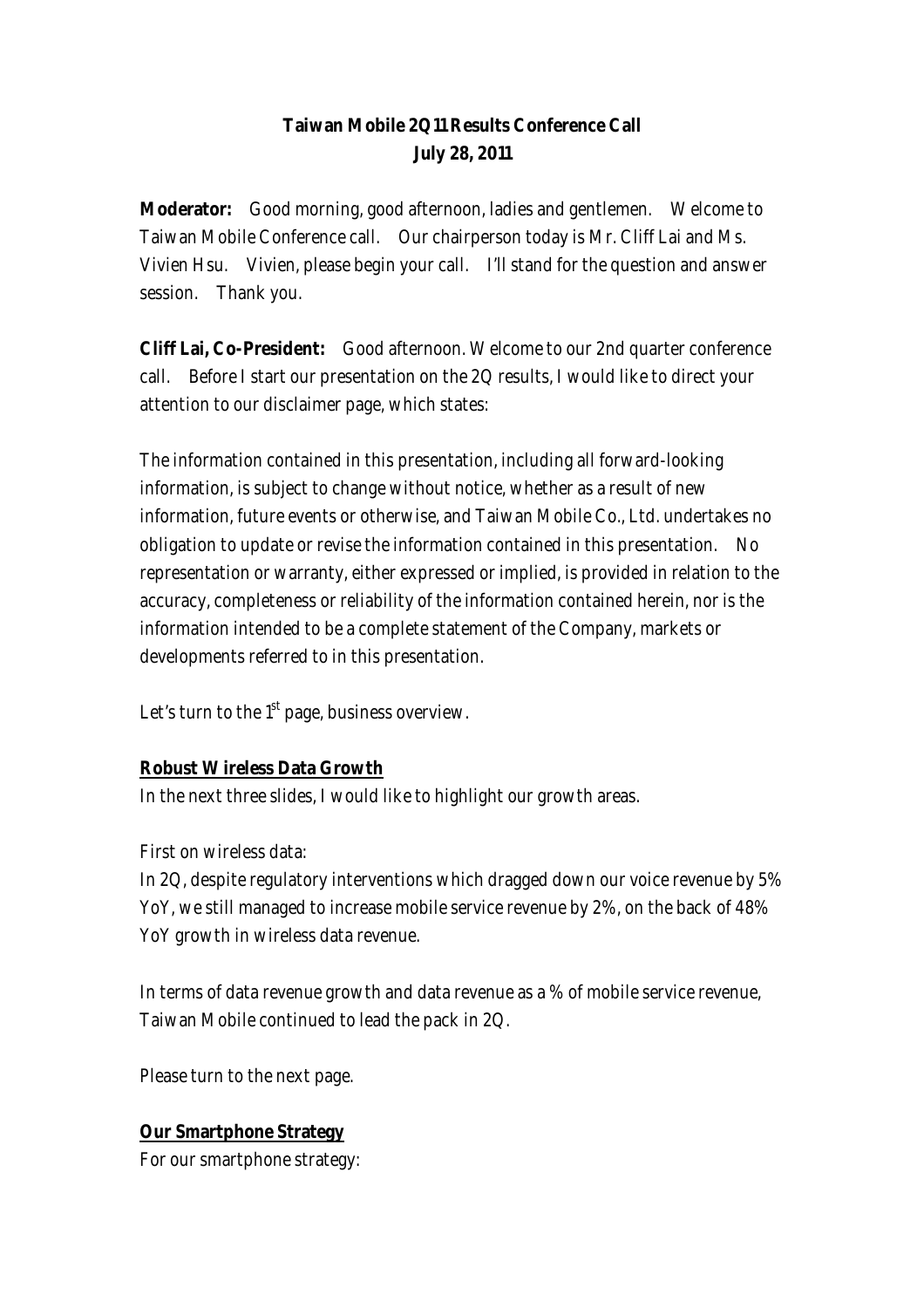## **Taiwan Mobile 2Q11 Results Conference Call July 28, 2011**

**Moderator:** Good morning, good afternoon, ladies and gentlemen. Welcome to Taiwan Mobile Conference call. Our chairperson today is Mr. Cliff Lai and Ms. Vivien Hsu. Vivien, please begin your call. I'll stand for the question and answer session. Thank you.

**Cliff Lai, Co-President:** Good afternoon. Welcome to our 2nd quarter conference call. Before I start our presentation on the 2Q results, I would like to direct your attention to our disclaimer page, which states:

The information contained in this presentation, including all forward-looking information, is subject to change without notice, whether as a result of new information, future events or otherwise, and Taiwan Mobile Co., Ltd. undertakes no obligation to update or revise the information contained in this presentation. No representation or warranty, either expressed or implied, is provided in relation to the accuracy, completeness or reliability of the information contained herein, nor is the information intended to be a complete statement of the Company, markets or developments referred to in this presentation.

Let's turn to the  $1<sup>st</sup>$  page, business overview.

#### **Robust Wireless Data Growth**

In the next three slides, I would like to highlight our growth areas.

First on wireless data:

In 2Q, despite regulatory interventions which dragged down our voice revenue by 5% YoY, we still managed to increase mobile service revenue by 2%, on the back of 48% YoY growth in wireless data revenue.

In terms of data revenue growth and data revenue as a % of mobile service revenue, Taiwan Mobile continued to lead the pack in 2Q.

Please turn to the next page.

### **Our Smartphone Strategy**

For our smartphone strategy: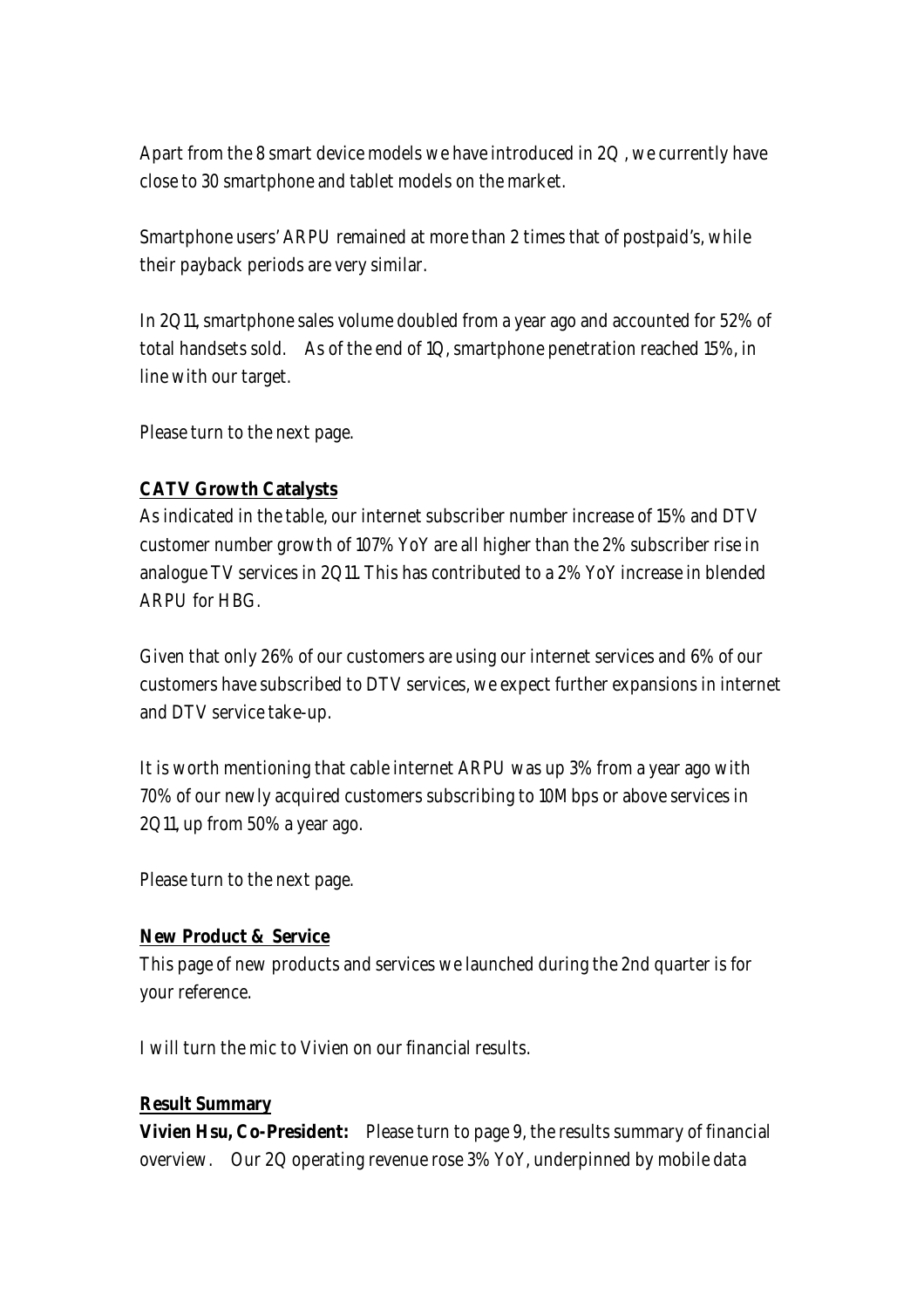Apart from the 8 smart device models we have introduced in 2Q , we currently have close to 30 smartphone and tablet models on the market.

Smartphone users' ARPU remained at more than 2 times that of postpaid's, while their payback periods are very similar.

In 2Q11, smartphone sales volume doubled from a year ago and accounted for 52% of total handsets sold. As of the end of 1Q, smartphone penetration reached 15%, in line with our target.

Please turn to the next page.

### **CATV Growth Catalysts**

As indicated in the table, our internet subscriber number increase of 15% and DTV customer number growth of 107% YoY are all higher than the 2% subscriber rise in analogue TV services in 2Q11. This has contributed to a 2% YoY increase in blended ARPU for HBG.

Given that only 26% of our customers are using our internet services and 6% of our customers have subscribed to DTV services, we expect further expansions in internet and DTV service take-up.

It is worth mentioning that cable internet ARPU was up 3% from a year ago with 70% of our newly acquired customers subscribing to 10Mbps or above services in 2Q11, up from 50% a year ago.

Please turn to the next page.

#### **New Product & Service**

This page of new products and services we launched during the 2nd quarter is for your reference.

I will turn the mic to Vivien on our financial results.

#### **Result Summary**

**Vivien Hsu, Co-President:** Please turn to page 9, the results summary of financial overview. Our 2Q operating revenue rose 3% YoY, underpinned by mobile data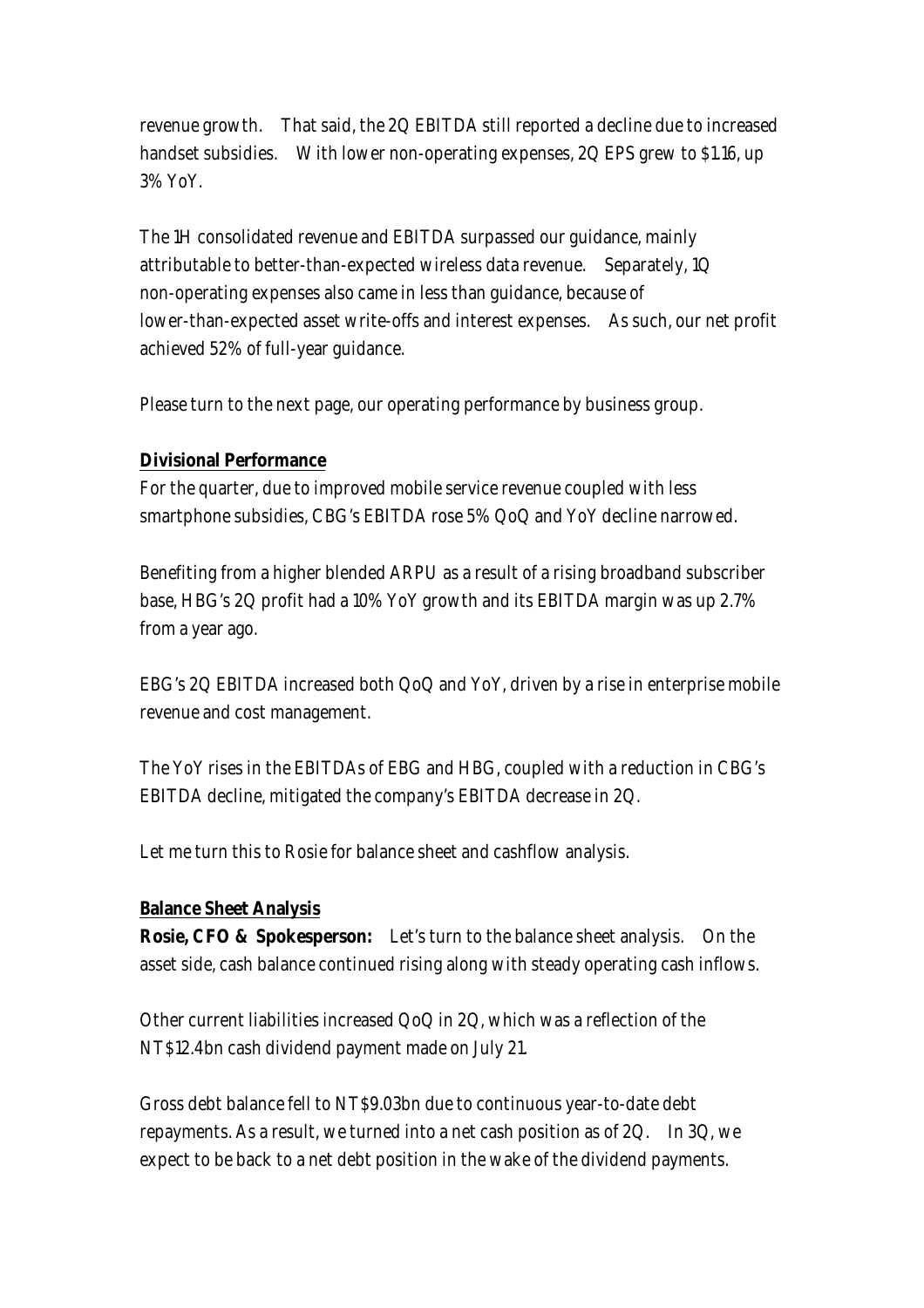revenue growth. That said, the 2Q EBITDA still reported a decline due to increased handset subsidies. With lower non-operating expenses, 2Q EPS grew to \$1.16, up 3% YoY.

The 1H consolidated revenue and EBITDA surpassed our guidance, mainly attributable to better-than-expected wireless data revenue. Separately, 1Q non-operating expenses also came in less than guidance, because of lower-than-expected asset write-offs and interest expenses. As such, our net profit achieved 52% of full-year guidance.

Please turn to the next page, our operating performance by business group.

#### **Divisional Performance**

For the quarter, due to improved mobile service revenue coupled with less smartphone subsidies, CBG's EBITDA rose 5% QoQ and YoY decline narrowed.

Benefiting from a higher blended ARPU as a result of a rising broadband subscriber base, HBG's 2Q profit had a 10% YoY growth and its EBITDA margin was up 2.7% from a year ago.

EBG's 2Q EBITDA increased both QoQ and YoY, driven by a rise in enterprise mobile revenue and cost management.

The YoY rises in the EBITDAs of EBG and HBG, coupled with a reduction in CBG's EBITDA decline, mitigated the company's EBITDA decrease in 2Q.

Let me turn this to Rosie for balance sheet and cashflow analysis.

#### **Balance Sheet Analysis**

**Rosie, CFO & Spokesperson:** Let's turn to the balance sheet analysis. On the asset side, cash balance continued rising along with steady operating cash inflows.

Other current liabilities increased QoQ in 2Q, which was a reflection of the NT\$12.4bn cash dividend payment made on July 21.

Gross debt balance fell to NT\$9.03bn due to continuous year-to-date debt repayments. As a result, we turned into a net cash position as of 2Q. In 3Q, we expect to be back to a net debt position in the wake of the dividend payments.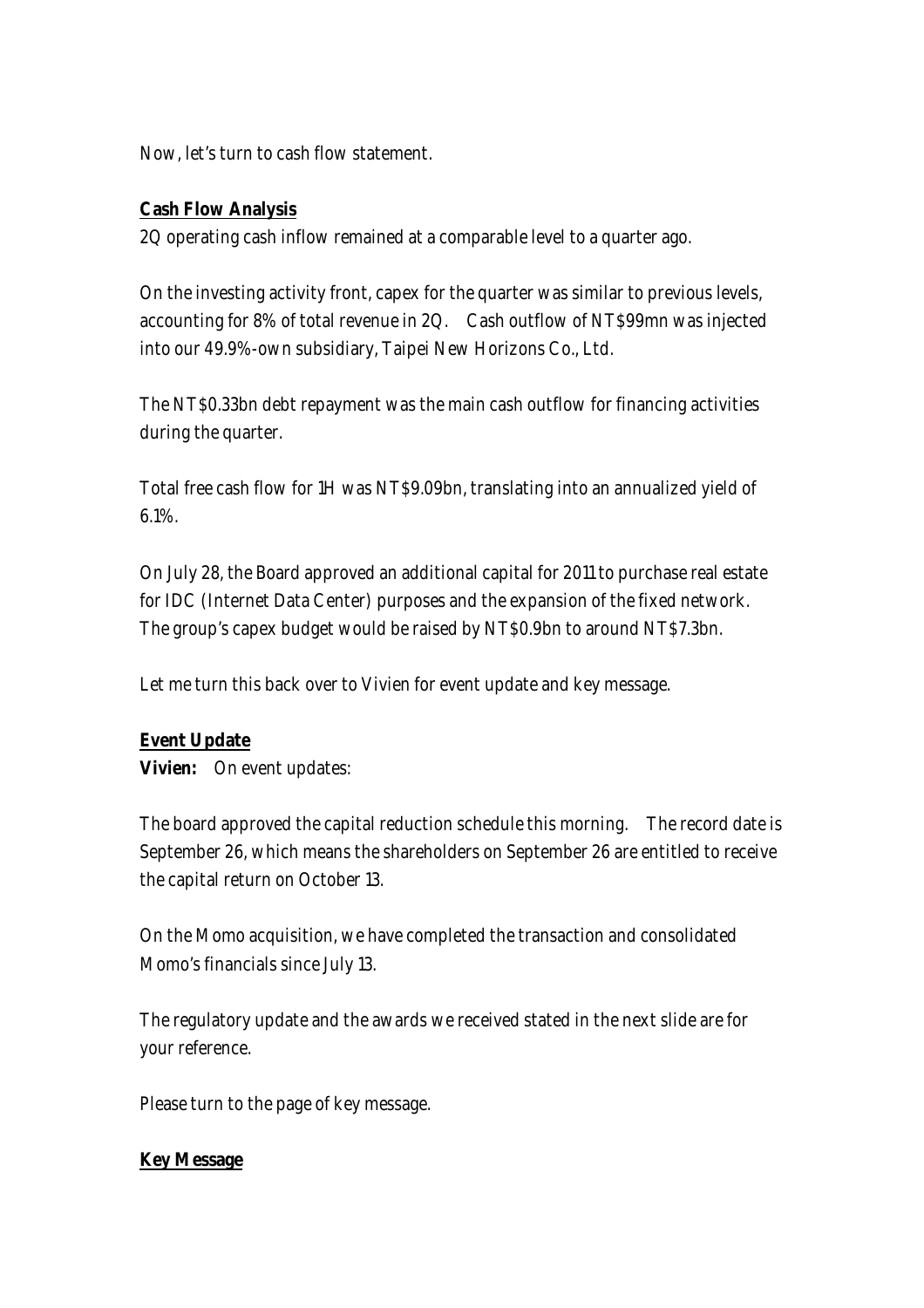Now, let's turn to cash flow statement.

### **Cash Flow Analysis**

2Q operating cash inflow remained at a comparable level to a quarter ago.

On the investing activity front, capex for the quarter was similar to previous levels, accounting for 8% of total revenue in 2Q. Cash outflow of NT\$99mn was injected into our 49.9%-own subsidiary, Taipei New Horizons Co., Ltd.

The NT\$0.33bn debt repayment was the main cash outflow for financing activities during the quarter.

Total free cash flow for 1H was NT\$9.09bn, translating into an annualized yield of 6.1%.

On July 28, the Board approved an additional capital for 2011 to purchase real estate for IDC (Internet Data Center) purposes and the expansion of the fixed network. The group's capex budget would be raised by NT\$0.9bn to around NT\$7.3bn.

Let me turn this back over to Vivien for event update and key message.

#### **Event Update**

**Vivien:** On event updates:

The board approved the capital reduction schedule this morning. The record date is September 26, which means the shareholders on September 26 are entitled to receive the capital return on October 13.

On the Momo acquisition, we have completed the transaction and consolidated Momo's financials since July 13.

The regulatory update and the awards we received stated in the next slide are for your reference.

Please turn to the page of key message.

#### **Key Message**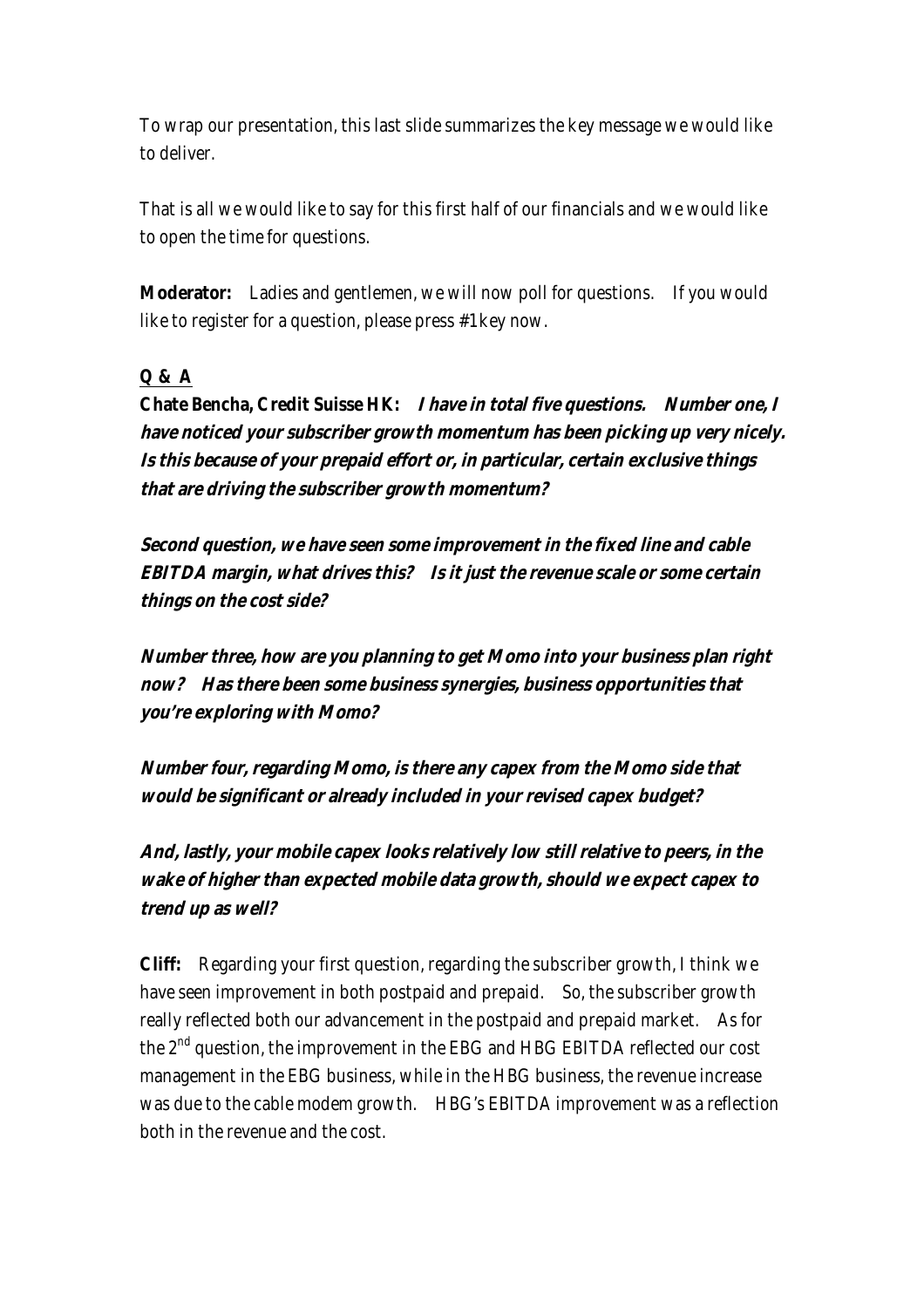To wrap our presentation, this last slide summarizes the key message we would like to deliver.

That is all we would like to say for this first half of our financials and we would like to open the time for questions.

**Moderator:** Ladies and gentlemen, we will now poll for questions. If you would like to register for a question, please press #1 key now.

### **Q & A**

**Chate Bencha, Credit Suisse HK: I have in total five questions. Number one, I have noticed your subscriber growth momentum has been picking up very nicely. Is this because of your prepaid effort or, in particular, certain exclusive things that are driving the subscriber growth momentum?** 

**Second question, we have seen some improvement in the fixed line and cable EBITDA margin, what drives this? Is it just the revenue scale or some certain things on the cost side?** 

**Number three, how are you planning to get Momo into your business plan right now? Has there been some business synergies, business opportunities that you're exploring with Momo?** 

**Number four, regarding Momo, is there any capex from the Momo side that would be significant or already included in your revised capex budget?** 

**And, lastly, your mobile capex looks relatively low still relative to peers, in the wake of higher than expected mobile data growth, should we expect capex to trend up as well?** 

**Cliff:** Regarding your first question, regarding the subscriber growth, I think we have seen improvement in both postpaid and prepaid. So, the subscriber growth really reflected both our advancement in the postpaid and prepaid market. As for the 2<sup>nd</sup> question, the improvement in the EBG and HBG EBITDA reflected our cost management in the EBG business, while in the HBG business, the revenue increase was due to the cable modem growth. HBG's EBITDA improvement was a reflection both in the revenue and the cost.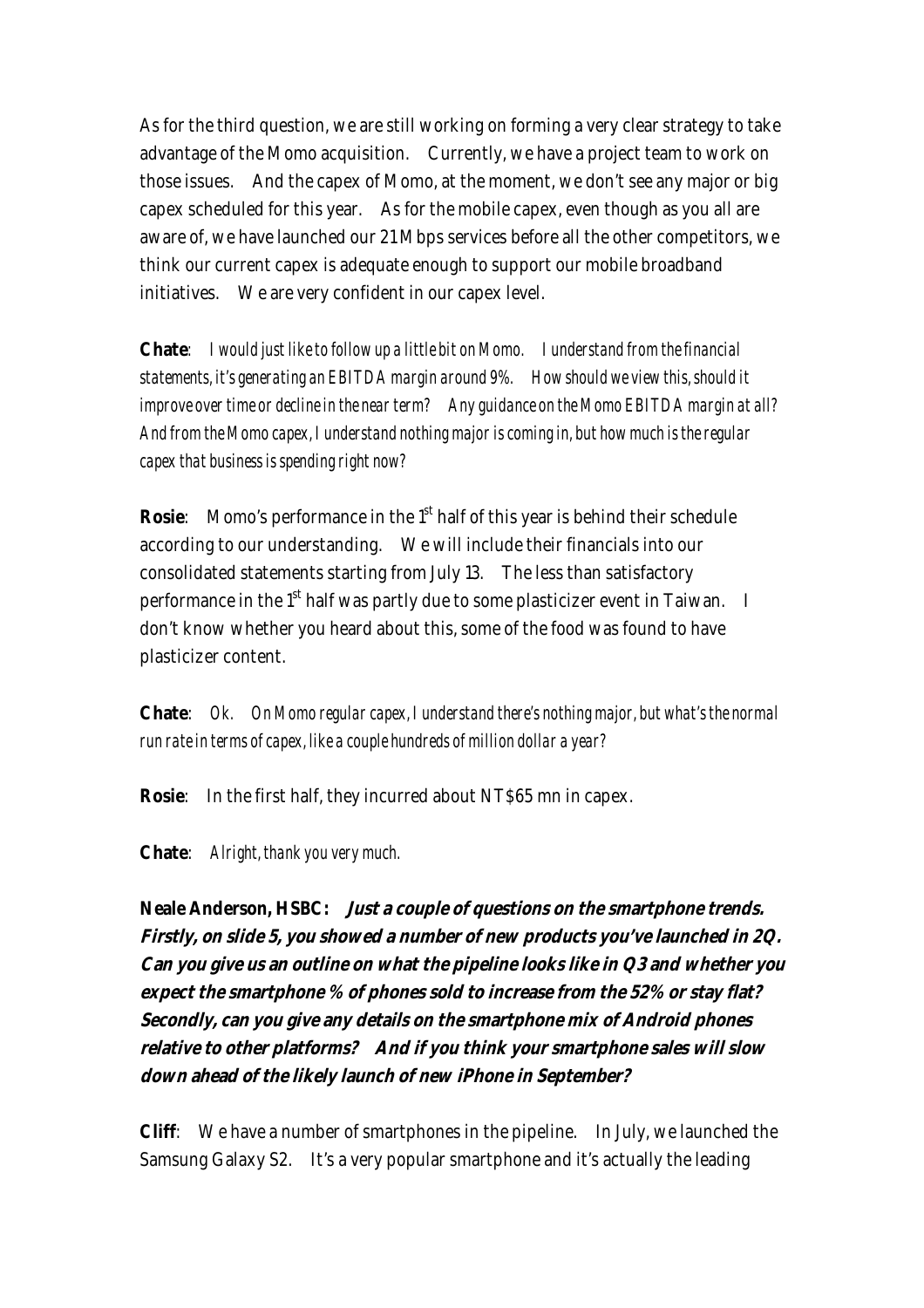As for the third question, we are still working on forming a very clear strategy to take advantage of the Momo acquisition. Currently, we have a project team to work on those issues. And the capex of Momo, at the moment, we don't see any major or big capex scheduled for this year. As for the mobile capex, even though as you all are aware of, we have launched our 21 Mbps services before all the other competitors, we think our current capex is adequate enough to support our mobile broadband initiatives. We are very confident in our capex level.

**Chate***: I would just like to follow up a little bit on Momo. I understand from the financial statements, it's generating an EBITDA margin around 9%. How should we view this, should it improve over time or decline in the near term? Any guidance on the Momo EBITDA margin at all? And from the Momo capex, I understand nothing major is coming in, but how much is the regular capex that business is spending right now?* 

**Rosie**: Momo's performance in the 1<sup>st</sup> half of this year is behind their schedule according to our understanding. We will include their financials into our consolidated statements starting from July 13. The less than satisfactory performance in the 1<sup>st</sup> half was partly due to some plasticizer event in Taiwan. I don't know whether you heard about this, some of the food was found to have plasticizer content.

**Chate**: *Ok. On Momo regular capex, I understand there's nothing major, but what's the normal run rate in terms of capex, like a couple hundreds of million dollar a year?*

**Rosie**: In the first half, they incurred about NT\$65 mn in capex.

**Chate**: *Alright, thank you very much.*

**Neale Anderson, HSBC: Just a couple of questions on the smartphone trends. Firstly, on slide 5, you showed a number of new products you've launched in 2Q. Can you give us an outline on what the pipeline looks like in Q3 and whether you expect the smartphone % of phones sold to increase from the 52% or stay flat? Secondly, can you give any details on the smartphone mix of Android phones relative to other platforms? And if you think your smartphone sales will slow down ahead of the likely launch of new iPhone in September?**

**Cliff**: We have a number of smartphones in the pipeline. In July, we launched the Samsung Galaxy S2. It's a very popular smartphone and it's actually the leading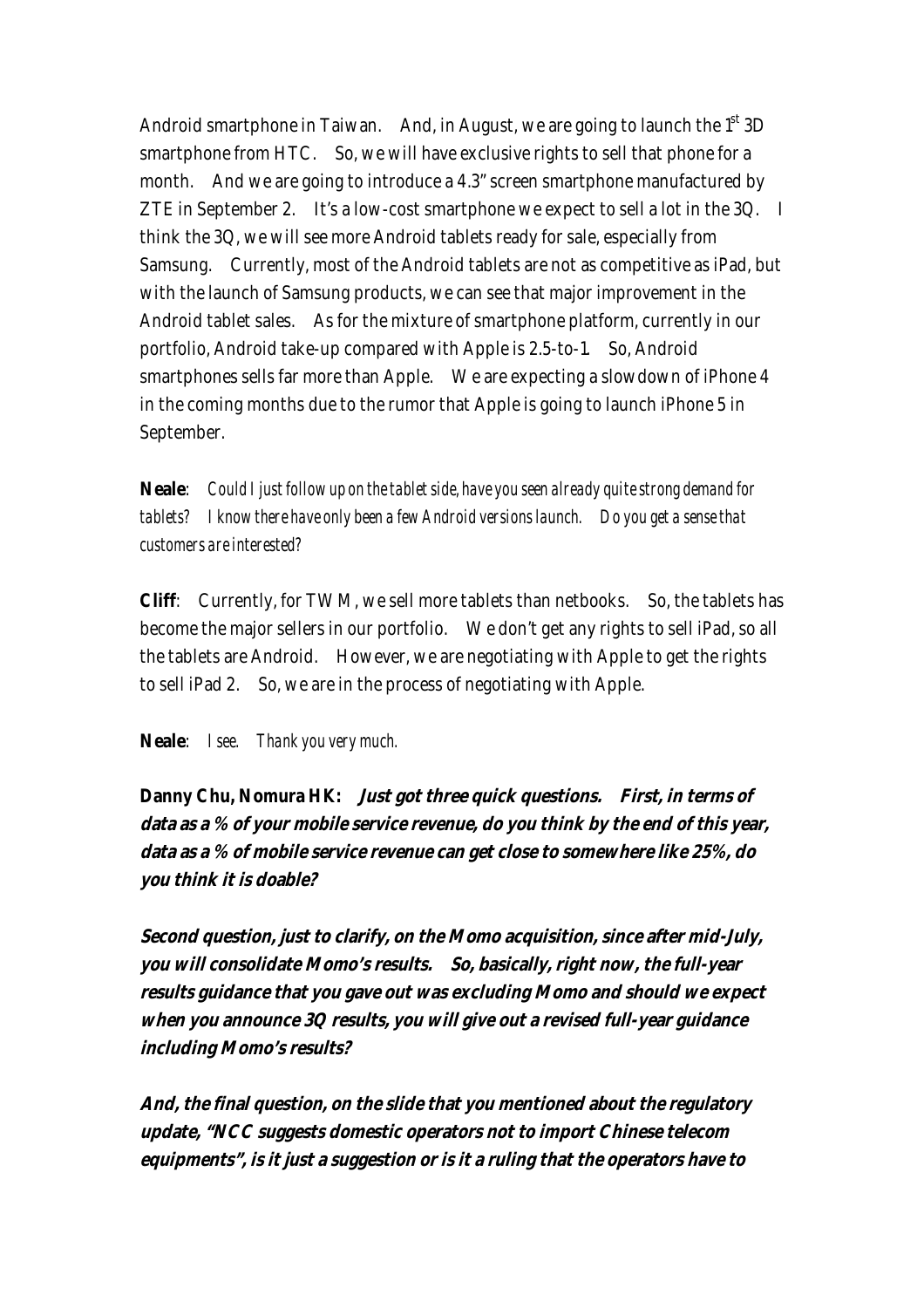Android smartphone in Taiwan. And, in August, we are going to launch the  $1<sup>st</sup> 3D$ smartphone from HTC. So, we will have exclusive rights to sell that phone for a month. And we are going to introduce a 4.3" screen smartphone manufactured by ZTE in September 2. It's a low-cost smartphone we expect to sell a lot in the 3Q. I think the 3Q, we will see more Android tablets ready for sale, especially from Samsung. Currently, most of the Android tablets are not as competitive as iPad, but with the launch of Samsung products, we can see that major improvement in the Android tablet sales. As for the mixture of smartphone platform, currently in our portfolio, Android take-up compared with Apple is 2.5-to-1. So, Android smartphones sells far more than Apple. We are expecting a slowdown of iPhone 4 in the coming months due to the rumor that Apple is going to launch iPhone 5 in September.

**Neale**: *Could I just follow up on the tablet side, have you seen already quite strong demand for tablets? I know there have only been a few Android versions launch. Do you get a sense that customers are interested?*

**Cliff**: Currently, for TWM, we sell more tablets than netbooks. So, the tablets has become the major sellers in our portfolio. We don't get any rights to sell iPad, so all the tablets are Android. However, we are negotiating with Apple to get the rights to sell iPad 2. So, we are in the process of negotiating with Apple.

**Neale**: *I see. Thank you very much.*

**Danny Chu, Nomura HK: Just got three quick questions. First, in terms of data as a % of your mobile service revenue, do you think by the end of this year, data as a % of mobile service revenue can get close to somewhere like 25%, do you think it is doable?** 

**Second question, just to clarify, on the Momo acquisition, since after mid-July, you will consolidate Momo's results. So, basically, right now, the full-year results guidance that you gave out was excluding Momo and should we expect when you announce 3Q results, you will give out a revised full-year guidance including Momo's results?** 

**And, the final question, on the slide that you mentioned about the regulatory update, "NCC suggests domestic operators not to import Chinese telecom equipments", is it just a suggestion or is it a ruling that the operators have to**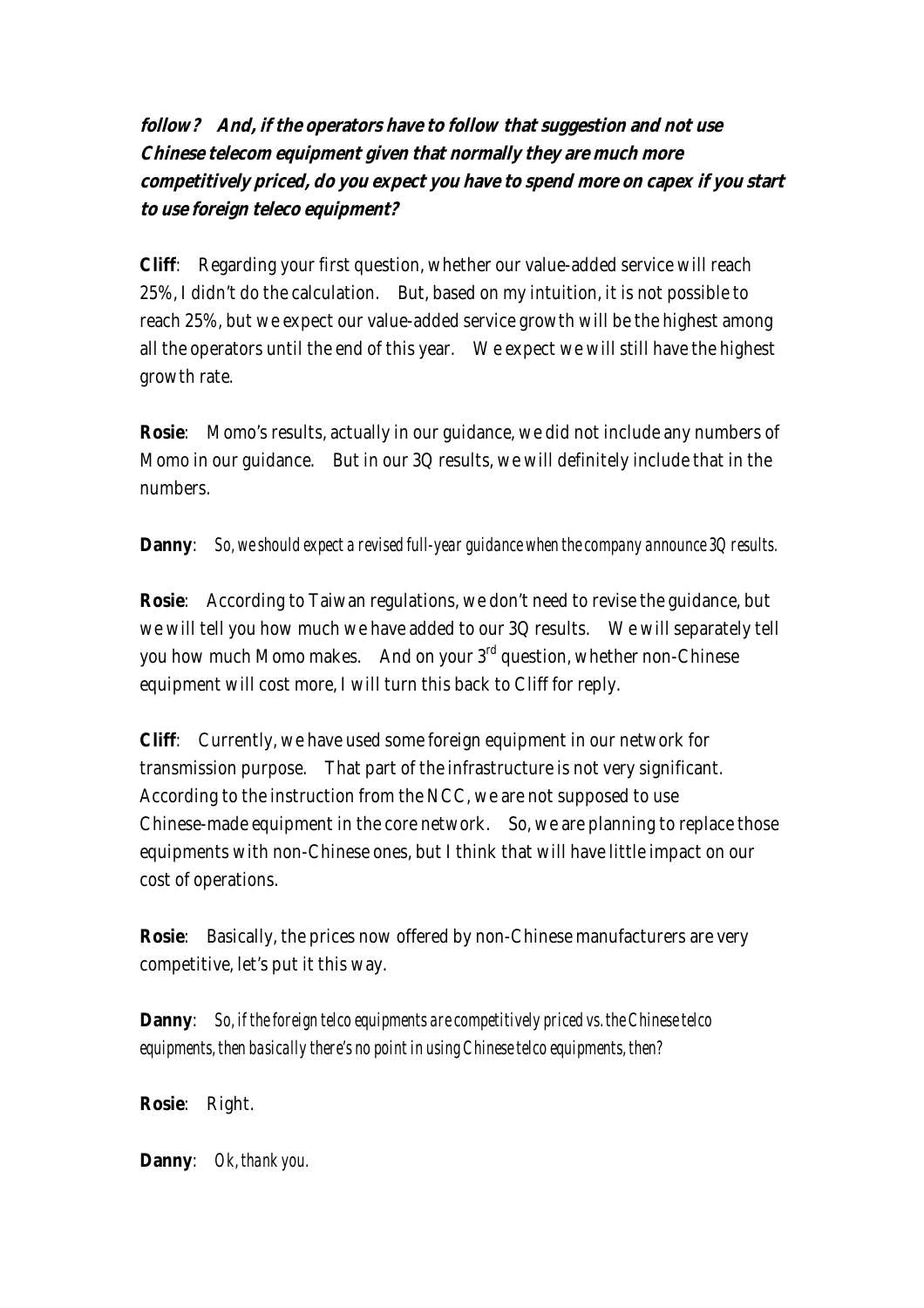**follow? And, if the operators have to follow that suggestion and not use Chinese telecom equipment given that normally they are much more competitively priced, do you expect you have to spend more on capex if you start to use foreign teleco equipment?** 

**Cliff**: Regarding your first question, whether our value-added service will reach 25%, I didn't do the calculation. But, based on my intuition, it is not possible to reach 25%, but we expect our value-added service growth will be the highest among all the operators until the end of this year. We expect we will still have the highest growth rate.

**Rosie**: Momo's results, actually in our guidance, we did not include any numbers of Momo in our guidance. But in our 3Q results, we will definitely include that in the numbers.

#### **Danny**: *So, we should expect a revised full-year guidance when the company announce 3Q results.*

**Rosie**: According to Taiwan regulations, we don't need to revise the guidance, but we will tell you how much we have added to our 3Q results. We will separately tell you how much Momo makes. And on your 3<sup>rd</sup> question, whether non-Chinese equipment will cost more, I will turn this back to Cliff for reply.

**Cliff**: Currently, we have used some foreign equipment in our network for transmission purpose. That part of the infrastructure is not very significant. According to the instruction from the NCC, we are not supposed to use Chinese-made equipment in the core network. So, we are planning to replace those equipments with non-Chinese ones, but I think that will have little impact on our cost of operations.

**Rosie**: Basically, the prices now offered by non-Chinese manufacturers are very competitive, let's put it this way.

**Danny**: *So, if the foreign telco equipments are competitively priced vs. the Chinese telco equipments, then basically there's no point in using Chinese telco equipments, then?*

**Rosie**: Right.

**Danny**: *Ok, thank you.*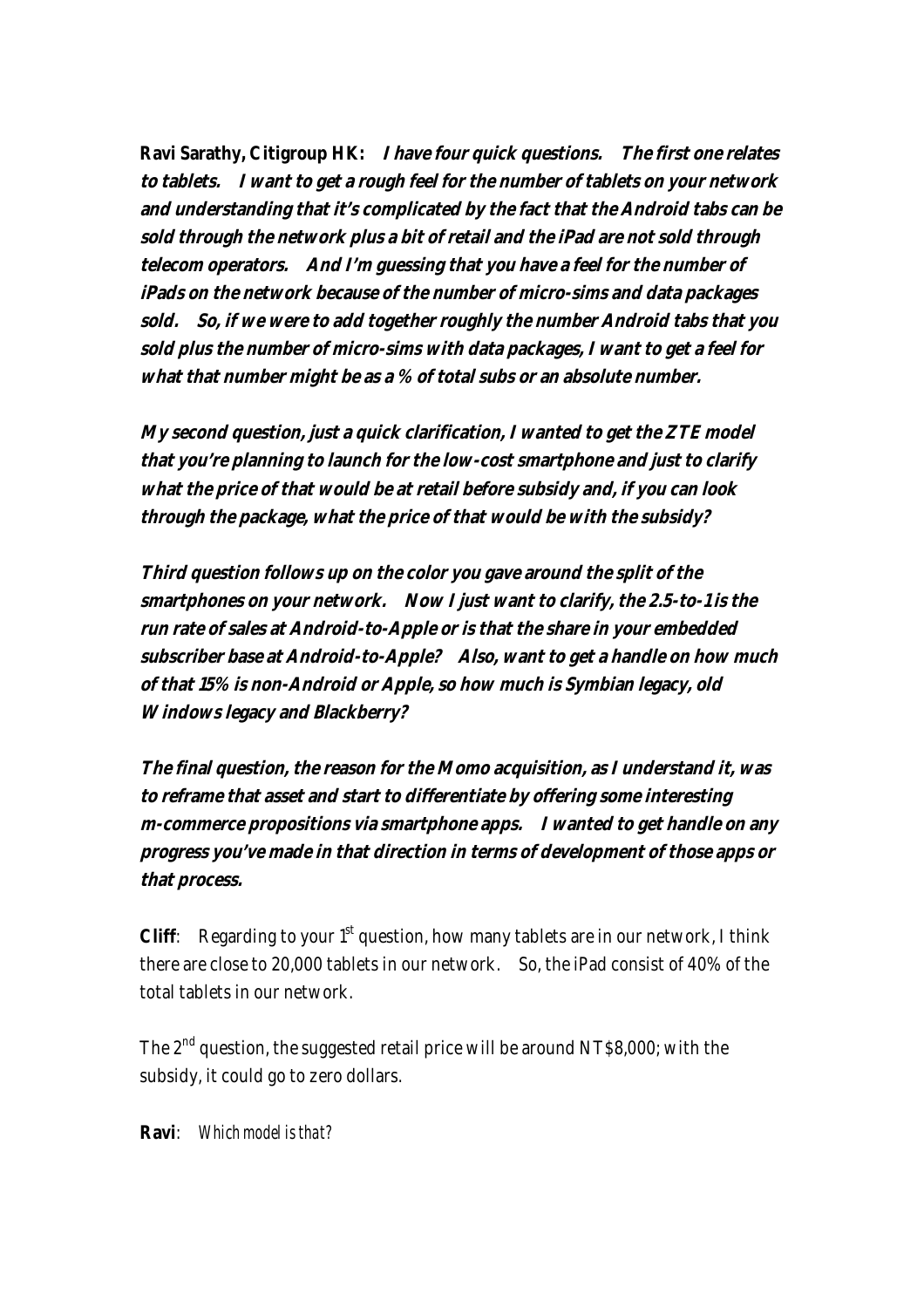**Ravi Sarathy, Citigroup HK: I have four quick questions. The first one relates to tablets. I want to get a rough feel for the number of tablets on your network and understanding that it's complicated by the fact that the Android tabs can be sold through the network plus a bit of retail and the iPad are not sold through telecom operators. And I'm guessing that you have a feel for the number of iPads on the network because of the number of micro-sims and data packages sold. So, if we were to add together roughly the number Android tabs that you sold plus the number of micro-sims with data packages, I want to get a feel for what that number might be as a % of total subs or an absolute number.** 

**My second question, just a quick clarification, I wanted to get the ZTE model that you're planning to launch for the low-cost smartphone and just to clarify what the price of that would be at retail before subsidy and, if you can look through the package, what the price of that would be with the subsidy?** 

**Third question follows up on the color you gave around the split of the smartphones on your network. Now I just want to clarify, the 2.5-to-1 is the run rate of sales at Android-to-Apple or is that the share in your embedded subscriber base at Android-to-Apple? Also, want to get a handle on how much of that 15% is non-Android or Apple, so how much is Symbian legacy, old Windows legacy and Blackberry?** 

**The final question, the reason for the Momo acquisition, as I understand it, was to reframe that asset and start to differentiate by offering some interesting m-commerce propositions via smartphone apps. I wanted to get handle on any progress you've made in that direction in terms of development of those apps or that process.** 

**Cliff**: Regarding to your  $1<sup>st</sup>$  question, how many tablets are in our network, I think there are close to 20,000 tablets in our network. So, the iPad consist of 40% of the total tablets in our network.

The  $2<sup>nd</sup>$  question, the suggested retail price will be around NT\$8,000; with the subsidy, it could go to zero dollars.

**Ravi**: *Which model is that?*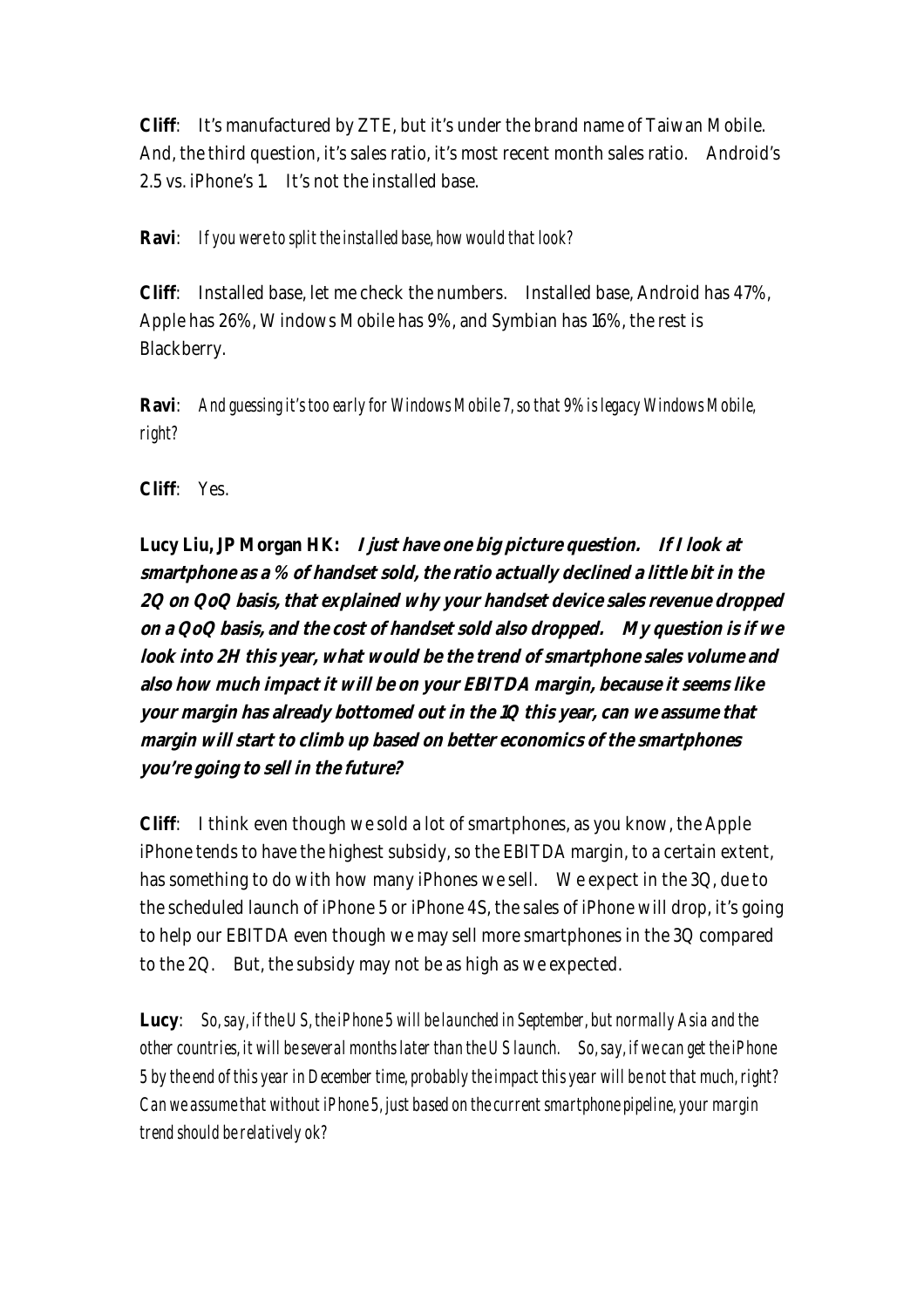**Cliff**: It's manufactured by ZTE, but it's under the brand name of Taiwan Mobile. And, the third question, it's sales ratio, it's most recent month sales ratio. Android's 2.5 vs. iPhone's 1. It's not the installed base.

#### **Ravi**: *If you were to split the installed base, how would that look?*

**Cliff**: Installed base, let me check the numbers. Installed base, Android has 47%, Apple has 26%, Windows Mobile has 9%, and Symbian has 16%, the rest is Blackberry.

**Ravi**: *And guessing it's too early for Windows Mobile 7, so that 9% is legacy Windows Mobile, right?*

**Cliff**: Yes.

**Lucy Liu, JP Morgan HK: I just have one big picture question. If I look at smartphone as a % of handset sold, the ratio actually declined a little bit in the 2Q on QoQ basis, that explained why your handset device sales revenue dropped on a QoQ basis, and the cost of handset sold also dropped. My question is if we look into 2H this year, what would be the trend of smartphone sales volume and also how much impact it will be on your EBITDA margin, because it seems like your margin has already bottomed out in the 1Q this year, can we assume that margin will start to climb up based on better economics of the smartphones you're going to sell in the future?**

**Cliff**: I think even though we sold a lot of smartphones, as you know, the Apple iPhone tends to have the highest subsidy, so the EBITDA margin, to a certain extent, has something to do with how many iPhones we sell. We expect in the 3Q, due to the scheduled launch of iPhone 5 or iPhone 4S, the sales of iPhone will drop, it's going to help our EBITDA even though we may sell more smartphones in the 3Q compared to the 2Q. But, the subsidy may not be as high as we expected.

**Lucy**: *So, say, if the US, the iPhone 5 will be launched in September, but normally Asia and the other countries, it will be several months later than the US launch. So, say, if we can get the iPhone 5 by the end of this year in December time, probably the impact this year will be not that much, right? Can we assume that without iPhone 5, just based on the current smartphone pipeline, your margin trend should be relatively ok?*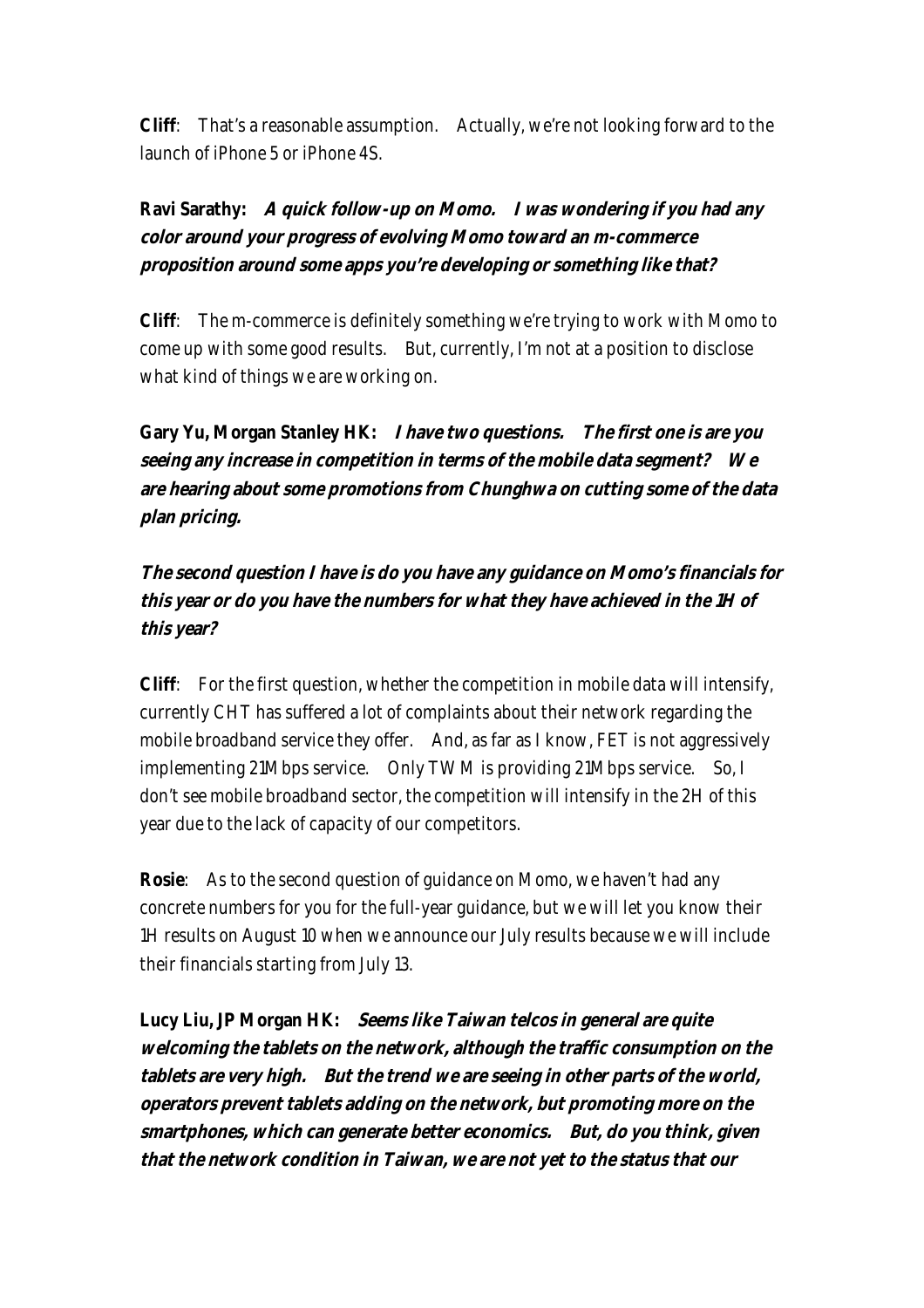**Cliff**: That's a reasonable assumption. Actually, we're not looking forward to the launch of iPhone 5 or iPhone 4S.

# **Ravi Sarathy: A quick follow-up on Momo. I was wondering if you had any color around your progress of evolving Momo toward an m-commerce proposition around some apps you're developing or something like that?**

**Cliff**: The m-commerce is definitely something we're trying to work with Momo to come up with some good results. But, currently, I'm not at a position to disclose what kind of things we are working on.

**Gary Yu, Morgan Stanley HK: I have two questions. The first one is are you seeing any increase in competition in terms of the mobile data segment? We are hearing about some promotions from Chunghwa on cutting some of the data plan pricing.** 

**The second question I have is do you have any guidance on Momo's financials for this year or do you have the numbers for what they have achieved in the 1H of this year?** 

**Cliff**: For the first question, whether the competition in mobile data will intensify, currently CHT has suffered a lot of complaints about their network regarding the mobile broadband service they offer. And, as far as I know, FET is not aggressively implementing 21Mbps service. Only TWM is providing 21Mbps service. So, I don't see mobile broadband sector, the competition will intensify in the 2H of this year due to the lack of capacity of our competitors.

**Rosie**: As to the second question of guidance on Momo, we haven't had any concrete numbers for you for the full-year guidance, but we will let you know their 1H results on August 10 when we announce our July results because we will include their financials starting from July 13.

**Lucy Liu, JP Morgan HK: Seems like Taiwan telcos in general are quite welcoming the tablets on the network, although the traffic consumption on the tablets are very high. But the trend we are seeing in other parts of the world, operators prevent tablets adding on the network, but promoting more on the smartphones, which can generate better economics. But, do you think, given that the network condition in Taiwan, we are not yet to the status that our**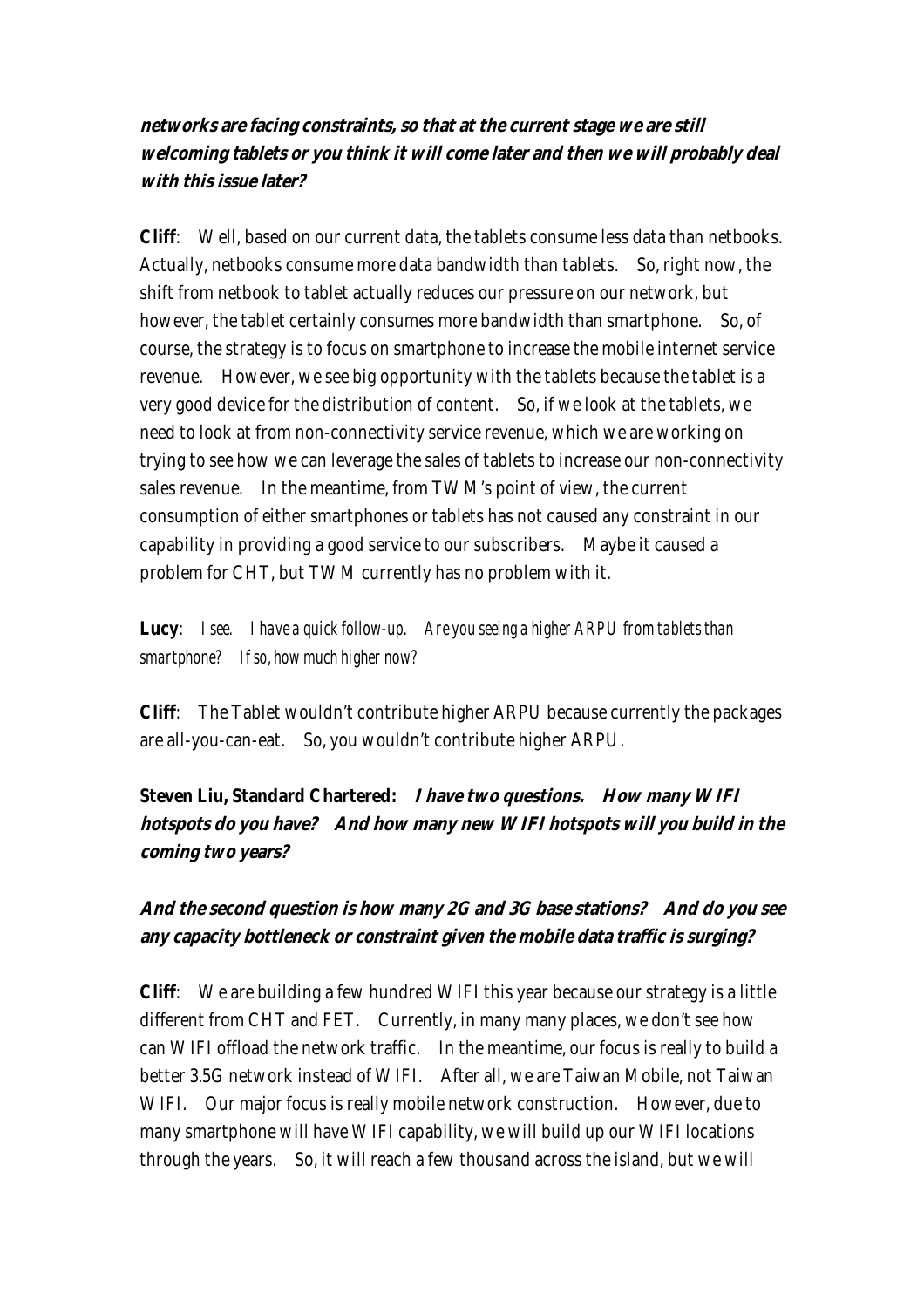**networks are facing constraints, so that at the current stage we are still welcoming tablets or you think it will come later and then we will probably deal with this issue later?**

**Cliff**: Well, based on our current data, the tablets consume less data than netbooks. Actually, netbooks consume more data bandwidth than tablets. So, right now, the shift from netbook to tablet actually reduces our pressure on our network, but however, the tablet certainly consumes more bandwidth than smartphone. So, of course, the strategy is to focus on smartphone to increase the mobile internet service revenue. However, we see big opportunity with the tablets because the tablet is a very good device for the distribution of content. So, if we look at the tablets, we need to look at from non-connectivity service revenue, which we are working on trying to see how we can leverage the sales of tablets to increase our non-connectivity sales revenue. In the meantime, from TWM's point of view, the current consumption of either smartphones or tablets has not caused any constraint in our capability in providing a good service to our subscribers. Maybe it caused a problem for CHT, but TWM currently has no problem with it.

**Lucy**: *I see. I have a quick follow-up. Are you seeing a higher ARPU from tablets than smartphone? If so, how much higher now?*

**Cliff**: The Tablet wouldn't contribute higher ARPU because currently the packages are all-you-can-eat. So, you wouldn't contribute higher ARPU.

**Steven Liu, Standard Chartered: I have two questions. How many WIFI hotspots do you have? And how many new WIFI hotspots will you build in the coming two years?** 

## **And the second question is how many 2G and 3G base stations? And do you see any capacity bottleneck or constraint given the mobile data traffic is surging?**

**Cliff**: We are building a few hundred WIFI this year because our strategy is a little different from CHT and FET. Currently, in many many places, we don't see how can WIFI offload the network traffic. In the meantime, our focus is really to build a better 3.5G network instead of WIFI. After all, we are Taiwan Mobile, not Taiwan WIFI. Our major focus is really mobile network construction. However, due to many smartphone will have WIFI capability, we will build up our WIFI locations through the years. So, it will reach a few thousand across the island, but we will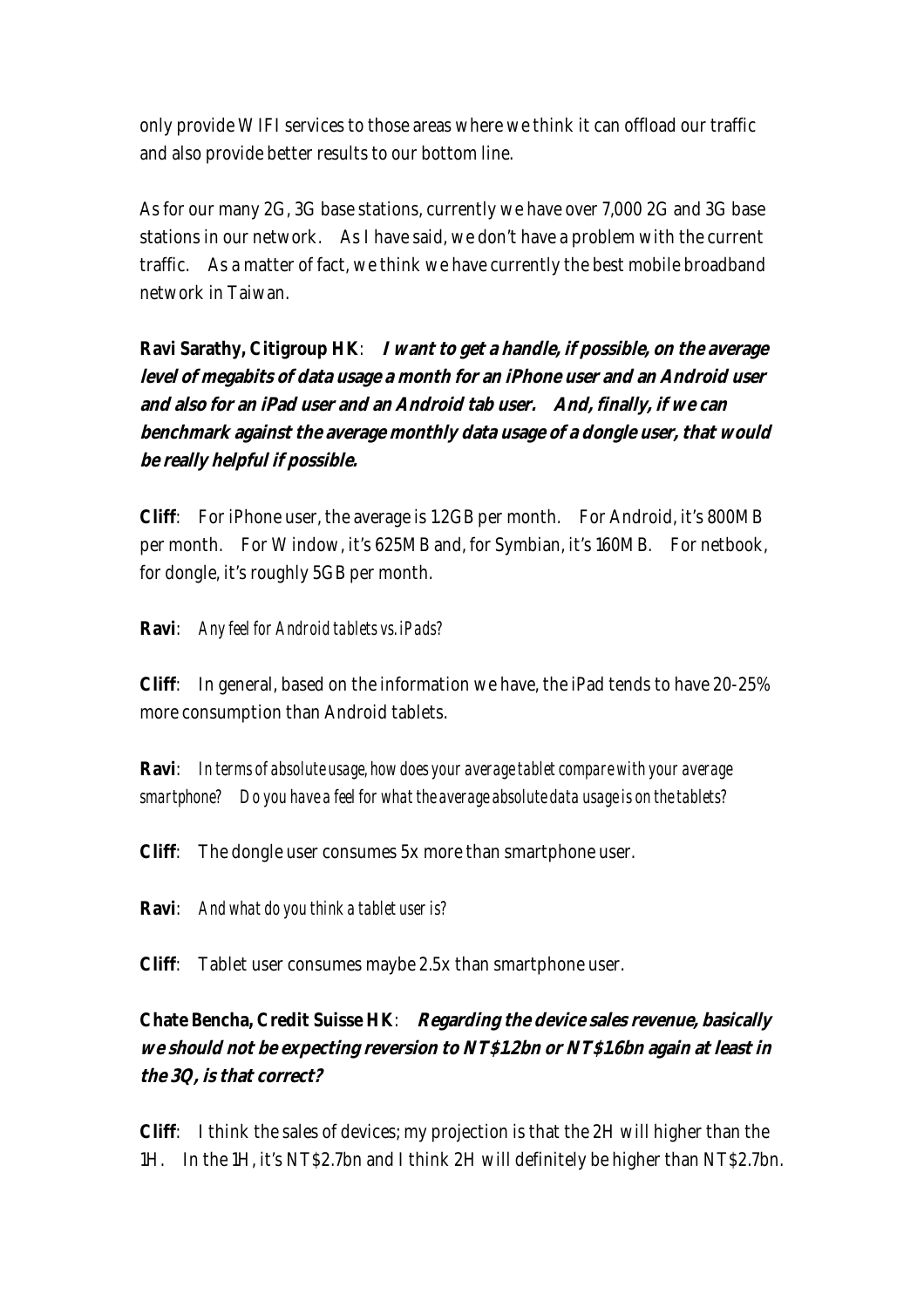only provide WIFI services to those areas where we think it can offload our traffic and also provide better results to our bottom line.

As for our many 2G, 3G base stations, currently we have over 7,000 2G and 3G base stations in our network. As I have said, we don't have a problem with the current traffic. As a matter of fact, we think we have currently the best mobile broadband network in Taiwan.

**Ravi Sarathy, Citigroup HK**: **I want to get a handle, if possible, on the average level of megabits of data usage a month for an iPhone user and an Android user and also for an iPad user and an Android tab user. And, finally, if we can benchmark against the average monthly data usage of a dongle user, that would be really helpful if possible.**

**Cliff**: For iPhone user, the average is 1.2GB per month. For Android, it's 800MB per month. For Window, it's 625MB and, for Symbian, it's 160MB. For netbook, for dongle, it's roughly 5GB per month.

**Ravi**: *Any feel for Android tablets vs. iPads?*

**Cliff**: In general, based on the information we have, the iPad tends to have 20-25% more consumption than Android tablets.

**Ravi**: *In terms of absolute usage, how does your average tablet compare with your average smartphone? Do you have a feel for what the average absolute data usage is on the tablets?*

**Cliff**: The dongle user consumes 5x more than smartphone user.

**Ravi**: *And what do you think a tablet user is?*

**Cliff**: Tablet user consumes maybe 2.5x than smartphone user.

### **Chate Bencha, Credit Suisse HK**: **Regarding the device sales revenue, basically we should not be expecting reversion to NT\$1.2bn or NT\$1.6bn again at least in the 3Q, is that correct?**

**Cliff**: I think the sales of devices; my projection is that the 2H will higher than the 1H. In the 1H, it's NT\$2.7bn and I think 2H will definitely be higher than NT\$2.7bn.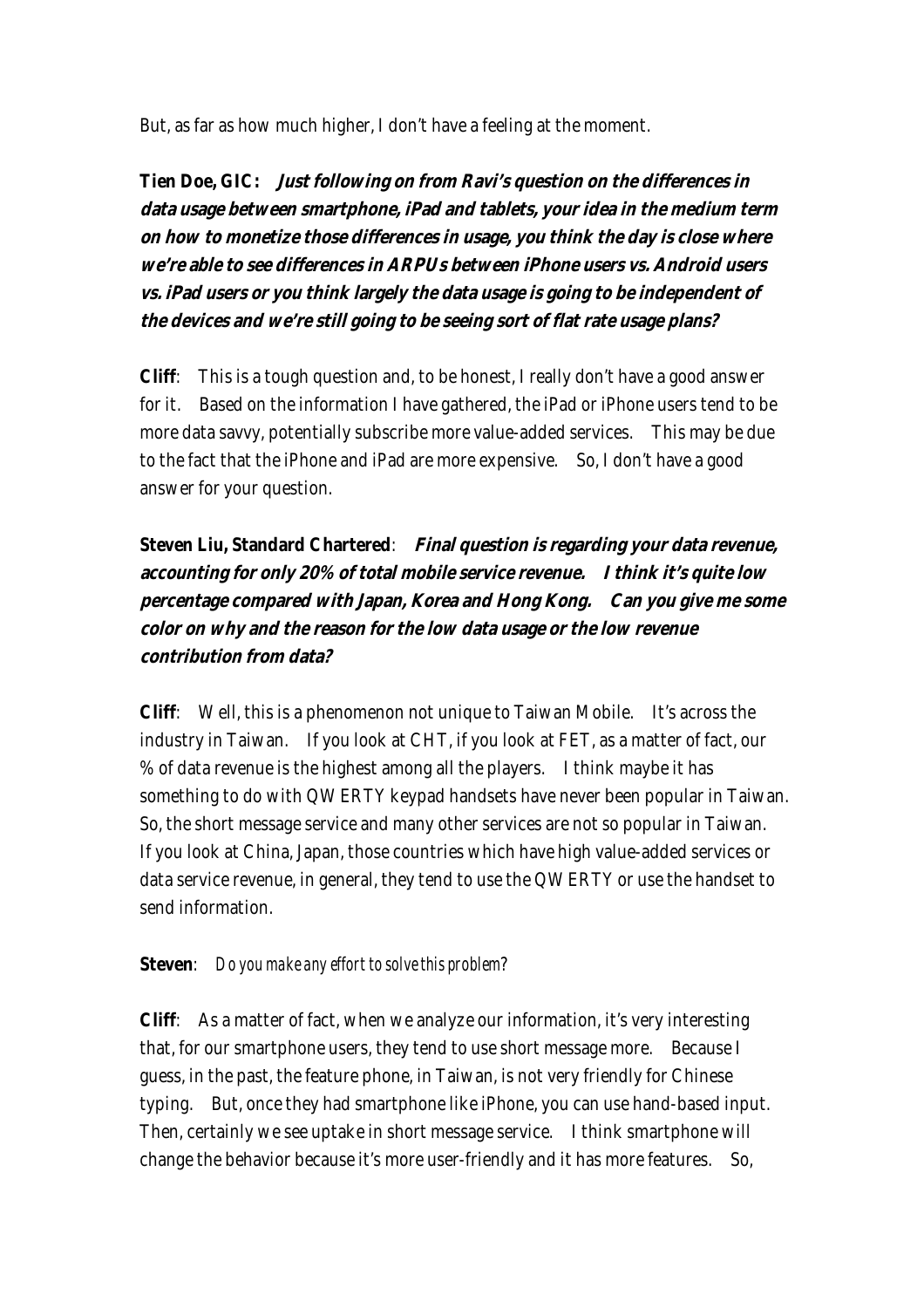But, as far as how much higher, I don't have a feeling at the moment.

**Tien Doe, GIC: Just following on from Ravi's question on the differences in data usage between smartphone, iPad and tablets, your idea in the medium term on how to monetize those differences in usage, you think the day is close where we're able to see differences in ARPUs between iPhone users vs. Android users vs. iPad users or you think largely the data usage is going to be independent of the devices and we're still going to be seeing sort of flat rate usage plans?** 

**Cliff**: This is a tough question and, to be honest, I really don't have a good answer for it. Based on the information I have gathered, the iPad or iPhone users tend to be more data savvy, potentially subscribe more value-added services. This may be due to the fact that the iPhone and iPad are more expensive. So, I don't have a good answer for your question.

**Steven Liu, Standard Chartered**: **Final question is regarding your data revenue, accounting for only 20% of total mobile service revenue. I think it's quite low percentage compared with Japan, Korea and Hong Kong. Can you give me some color on why and the reason for the low data usage or the low revenue contribution from data?**

**Cliff**: Well, this is a phenomenon not unique to Taiwan Mobile. It's across the industry in Taiwan. If you look at CHT, if you look at FET, as a matter of fact, our % of data revenue is the highest among all the players. I think maybe it has something to do with QWERTY keypad handsets have never been popular in Taiwan. So, the short message service and many other services are not so popular in Taiwan. If you look at China, Japan, those countries which have high value-added services or data service revenue, in general, they tend to use the QWERTY or use the handset to send information.

#### **Steven**: *Do you make any effort to solve this problem*?

**Cliff**: As a matter of fact, when we analyze our information, it's very interesting that, for our smartphone users, they tend to use short message more. Because I guess, in the past, the feature phone, in Taiwan, is not very friendly for Chinese typing. But, once they had smartphone like iPhone, you can use hand-based input. Then, certainly we see uptake in short message service. I think smartphone will change the behavior because it's more user-friendly and it has more features. So,